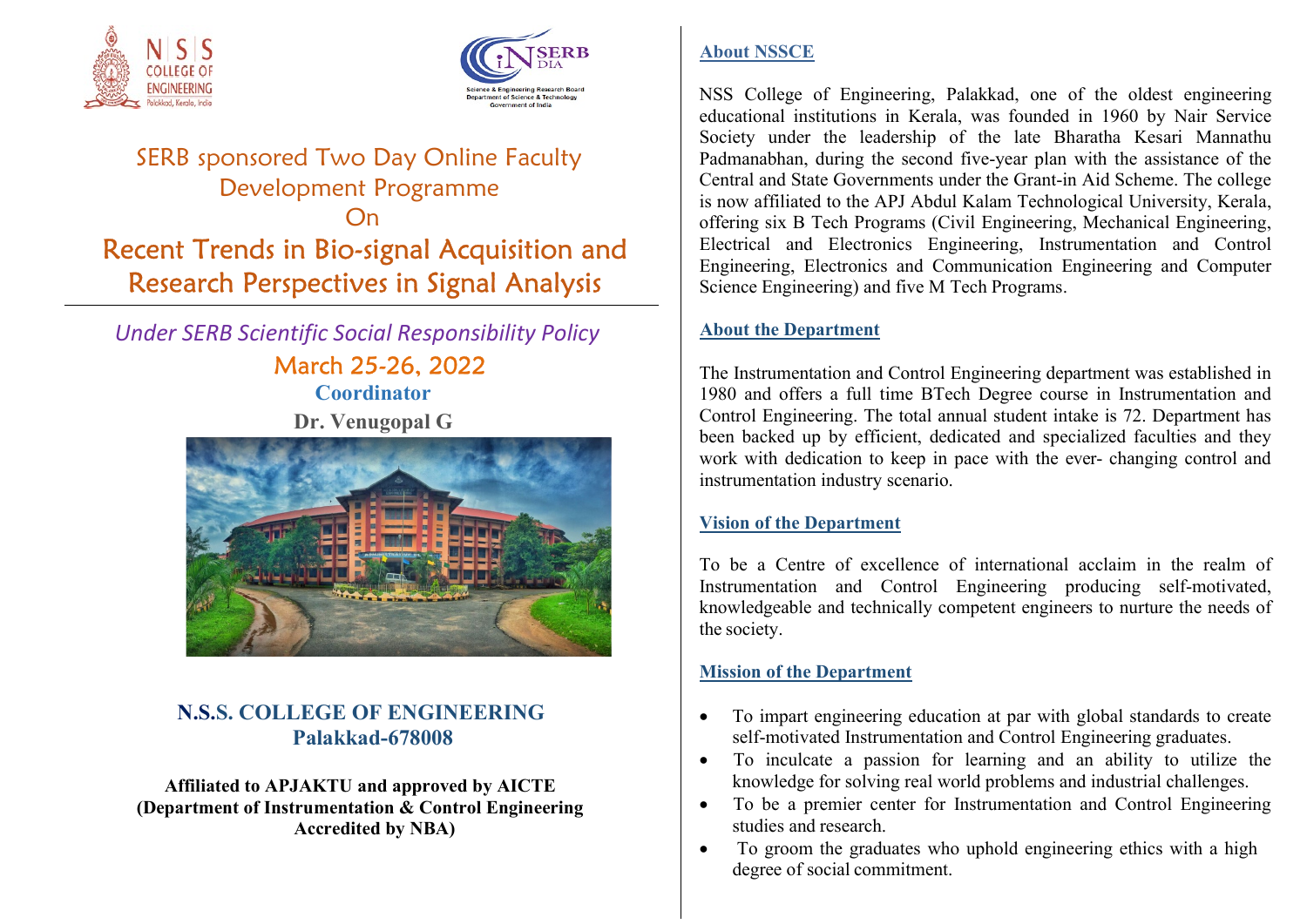



# SERB sponsored Two Day Online Faculty Development Programme On Recent Trends in Bio-signal Acquisition and Research Perspectives in Signal Analysis

 Under SERB Scientific Social Responsibility Policy March 25-26, 2022 **Coordinator** Dr. Venugopal G



# N.S.S. COLLEGE OF ENGINEERING Palakkad-678008

Affiliated to APJAKTU and approved by AICTE (Department of Instrumentation & Control Engineering Accredited by NBA)

# About NSSCE

NSS College of Engineering, Palakkad, one of the oldest engineering educational institutions in Kerala, was founded in 1960 by Nair Service Society under the leadership of the late Bharatha Kesari Mannathu Padmanabhan, during the second five-year plan with the assistance of the Central and State Governments under the Grant-in Aid Scheme. The college is now affiliated to the APJ Abdul Kalam Technological University, Kerala, offering six B Tech Programs (Civil Engineering, Mechanical Engineering, Electrical and Electronics Engineering, Instrumentation and Control Engineering, Electronics and Communication Engineering and Computer Science Engineering) and five M Tech Programs.

# About the Department

The Instrumentation and Control Engineering department was established in 1980 and offers a full time BTech Degree course in Instrumentation and Control Engineering. The total annual student intake is 72. Department has been backed up by efficient, dedicated and specialized faculties and they work with dedication to keep in pace with the ever- changing control and instrumentation industry scenario.

# Vision of the Department

To be a Centre of excellence of international acclaim in the realm of Instrumentation and Control Engineering producing self-motivated, knowledgeable and technically competent engineers to nurture the needs of the society.

# Mission of the Department

- To impart engineering education at par with global standards to create self-motivated Instrumentation and Control Engineering graduates.
- To inculcate a passion for learning and an ability to utilize the knowledge for solving real world problems and industrial challenges.
- To be a premier center for Instrumentation and Control Engineering studies and research.
- To groom the graduates who uphold engineering ethics with a high degree of social commitment.